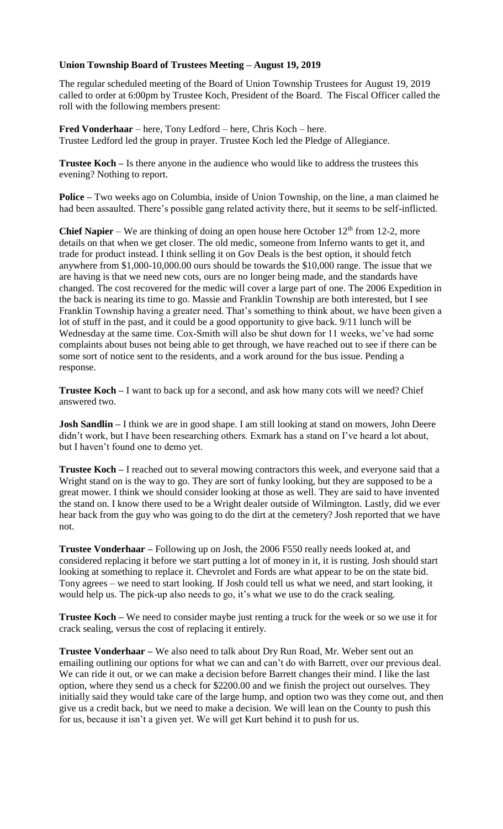## **Union Township Board of Trustees Meeting – August 19, 2019**

The regular scheduled meeting of the Board of Union Township Trustees for August 19, 2019 called to order at 6:00pm by Trustee Koch, President of the Board. The Fiscal Officer called the roll with the following members present:

**Fred Vonderhaar** – here, Tony Ledford – here, Chris Koch – here. Trustee Ledford led the group in prayer. Trustee Koch led the Pledge of Allegiance.

**Trustee Koch –** Is there anyone in the audience who would like to address the trustees this evening? Nothing to report.

**Police –** Two weeks ago on Columbia, inside of Union Township, on the line, a man claimed he had been assaulted. There's possible gang related activity there, but it seems to be self-inflicted.

**Chief Napier** – We are thinking of doing an open house here October  $12<sup>th</sup>$  from 12-2, more details on that when we get closer. The old medic, someone from Inferno wants to get it, and trade for product instead. I think selling it on Gov Deals is the best option, it should fetch anywhere from \$1,000-10,000.00 ours should be towards the \$10,000 range. The issue that we are having is that we need new cots, ours are no longer being made, and the standards have changed. The cost recovered for the medic will cover a large part of one. The 2006 Expedition in the back is nearing its time to go. Massie and Franklin Township are both interested, but I see Franklin Township having a greater need. That's something to think about, we have been given a lot of stuff in the past, and it could be a good opportunity to give back. 9/11 lunch will be Wednesday at the same time. Cox-Smith will also be shut down for 11 weeks, we've had some complaints about buses not being able to get through, we have reached out to see if there can be some sort of notice sent to the residents, and a work around for the bus issue. Pending a response.

**Trustee Koch** – I want to back up for a second, and ask how many cots will we need? Chief answered two.

**Josh Sandlin –** I think we are in good shape. I am still looking at stand on mowers, John Deere didn't work, but I have been researching others. Exmark has a stand on I've heard a lot about, but I haven't found one to demo yet.

**Trustee Koch –** I reached out to several mowing contractors this week, and everyone said that a Wright stand on is the way to go. They are sort of funky looking, but they are supposed to be a great mower. I think we should consider looking at those as well. They are said to have invented the stand on. I know there used to be a Wright dealer outside of Wilmington. Lastly, did we ever hear back from the guy who was going to do the dirt at the cemetery? Josh reported that we have not.

**Trustee Vonderhaar –** Following up on Josh, the 2006 F550 really needs looked at, and considered replacing it before we start putting a lot of money in it, it is rusting. Josh should start looking at something to replace it. Chevrolet and Fords are what appear to be on the state bid. Tony agrees – we need to start looking. If Josh could tell us what we need, and start looking, it would help us. The pick-up also needs to go, it's what we use to do the crack sealing.

**Trustee Koch –** We need to consider maybe just renting a truck for the week or so we use it for crack sealing, versus the cost of replacing it entirely.

**Trustee Vonderhaar –** We also need to talk about Dry Run Road, Mr. Weber sent out an emailing outlining our options for what we can and can't do with Barrett, over our previous deal. We can ride it out, or we can make a decision before Barrett changes their mind. I like the last option, where they send us a check for \$2200.00 and we finish the project out ourselves. They initially said they would take care of the large hump, and option two was they come out, and then give us a credit back, but we need to make a decision. We will lean on the County to push this for us, because it isn't a given yet. We will get Kurt behind it to push for us.